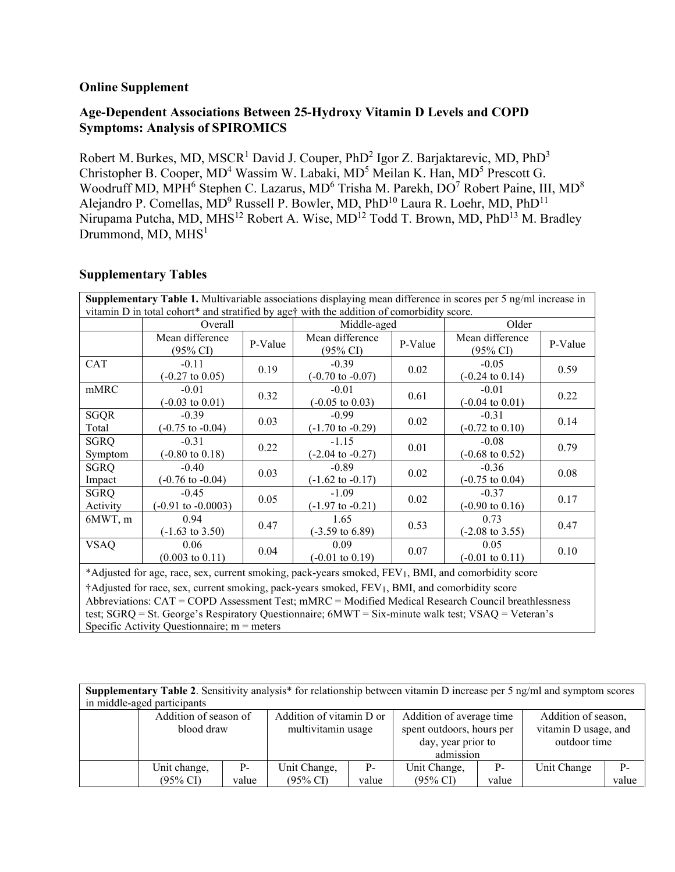## **Online Supplement**

## **Age-Dependent Associations Between 25-Hydroxy Vitamin D Levels and COPD Symptoms: Analysis of SPIROMICS**

Robert M. Burkes, MD, MSCR<sup>1</sup> David J. Couper, PhD<sup>2</sup> Igor Z. Barjaktarevic, MD, PhD<sup>3</sup> Christopher B. Cooper,  $MD^4$  Wassim W. Labaki,  $MD^5$  Meilan K. Han,  $MD^5$  Prescott G. Woodruff MD, MPH<sup>6</sup> Stephen C. Lazarus, MD<sup>6</sup> Trisha M. Parekh, DO<sup>7</sup> Robert Paine, III, MD<sup>8</sup> Alejandro P. Comellas, MD<sup>9</sup> Russell P. Bowler, MD, PhD<sup>10</sup> Laura R. Loehr, MD, PhD<sup>11</sup> Nirupama Putcha, MD, MHS<sup>12</sup> Robert A. Wise, MD<sup>12</sup> Todd T. Brown, MD, PhD<sup>13</sup> M. Bradley Drummond,  $MD$ ,  $MHS<sup>1</sup>$ 

## **Supplementary Tables**

| Supplementary Table 1. Multivariable associations displaying mean difference in scores per 5 ng/ml increase in                                                                                                                                                                                                         |                                          |         |                                        |         |                                        |         |  |
|------------------------------------------------------------------------------------------------------------------------------------------------------------------------------------------------------------------------------------------------------------------------------------------------------------------------|------------------------------------------|---------|----------------------------------------|---------|----------------------------------------|---------|--|
| vitamin D in total cohort* and stratified by age† with the addition of comorbidity score.                                                                                                                                                                                                                              |                                          |         |                                        |         |                                        |         |  |
|                                                                                                                                                                                                                                                                                                                        | Overall                                  |         | Middle-aged                            |         | Older                                  |         |  |
|                                                                                                                                                                                                                                                                                                                        | Mean difference<br>$(95\% \text{ CI})$   | P-Value | Mean difference<br>$(95\% \text{ CI})$ | P-Value | Mean difference<br>$(95\% \text{ CI})$ | P-Value |  |
| <b>CAT</b>                                                                                                                                                                                                                                                                                                             | $-0.11$<br>$(-0.27 \text{ to } 0.05)$    | 0.19    | $-0.39$<br>$(-0.70 \text{ to } -0.07)$ | 0.02    | $-0.05$<br>$(-0.24 \text{ to } 0.14)$  | 0.59    |  |
| mMRC                                                                                                                                                                                                                                                                                                                   | $-0.01$<br>$(-0.03 \text{ to } 0.01)$    | 0.32    | $-0.01$<br>$(-0.05 \text{ to } 0.03)$  | 0.61    | $-0.01$<br>$(-0.04 \text{ to } 0.01)$  | 0.22    |  |
| <b>SGQR</b><br>Total                                                                                                                                                                                                                                                                                                   | $-0.39$<br>$(-0.75 \text{ to } -0.04)$   | 0.03    | $-0.99$<br>$(-1.70 \text{ to } -0.29)$ | 0.02    | $-0.31$<br>$(-0.72 \text{ to } 0.10)$  | 0.14    |  |
| <b>SGRQ</b><br>Symptom                                                                                                                                                                                                                                                                                                 | $-0.31$<br>$(-0.80 \text{ to } 0.18)$    | 0.22    | $-1.15$<br>$(-2.04 \text{ to } -0.27)$ | 0.01    | $-0.08$<br>$(-0.68 \text{ to } 0.52)$  | 0.79    |  |
| <b>SGRQ</b><br>Impact                                                                                                                                                                                                                                                                                                  | $-0.40$<br>$(-0.76 \text{ to } -0.04)$   | 0.03    | $-0.89$<br>$(-1.62 \text{ to } -0.17)$ | 0.02    | $-0.36$<br>$(-0.75 \text{ to } 0.04)$  | 0.08    |  |
| <b>SGRQ</b><br>Activity                                                                                                                                                                                                                                                                                                | $-0.45$<br>$(-0.91 \text{ to } -0.0003)$ | 0.05    | $-1.09$<br>$(-1.97 \text{ to } -0.21)$ | 0.02    | $-0.37$<br>$(-0.90 \text{ to } 0.16)$  | 0.17    |  |
| 6MWT, m                                                                                                                                                                                                                                                                                                                | 0.94<br>$(-1.63 \text{ to } 3.50)$       | 0.47    | 1.65<br>$(-3.59 \text{ to } 6.89)$     | 0.53    | 0.73<br>$(-2.08 \text{ to } 3.55)$     | 0.47    |  |
| <b>VSAQ</b>                                                                                                                                                                                                                                                                                                            | 0.06<br>$(0.003 \text{ to } 0.11)$       | 0.04    | 0.09<br>$(-0.01 \text{ to } 0.19)$     | 0.07    | 0.05<br>$(-0.01 \text{ to } 0.11)$     | 0.10    |  |
| *Adjusted for age, race, sex, current smoking, pack-years smoked, FEV1, BMI, and comorbidity score                                                                                                                                                                                                                     |                                          |         |                                        |         |                                        |         |  |
| †Adjusted for race, sex, current smoking, pack-years smoked, FEV <sub>1</sub> , BMI, and comorbidity score<br>Abbreviations: CAT = COPD Assessment Test; mMRC = Modified Medical Research Council breathlessness<br>test; SGRQ = St. George's Respiratory Questionnaire; 6MWT = Six-minute walk test; VSAQ = Veteran's |                                          |         |                                        |         |                                        |         |  |

Specific Activity Questionnaire;  $m =$  meters

**Supplementary Table 2**. Sensitivity analysis\* for relationship between vitamin D increase per 5 ng/ml and symptom scores in middle-aged participants Addition of season of blood draw Addition of vitamin D or multivitamin usage Addition of average time spent outdoors, hours per day, year prior to admission Addition of season, vitamin D usage, and outdoor time Unit change, (95% CI) Pvalue Unit Change, (95% CI) Pvalue Unit Change, (95% CI) Pvalue Unit Change Pvalue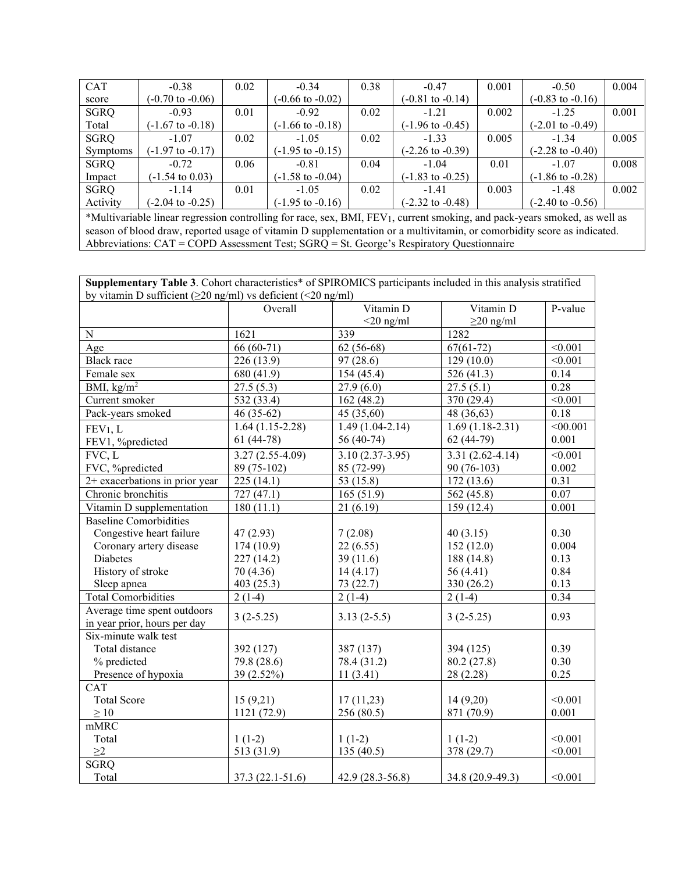| <b>CAT</b>                                                                                                                             | $-0.38$                     | 0.02 | $-0.34$                     | 0.38 | $-0.47$                     | 0.001 | $-0.50$                     | 0.004 |
|----------------------------------------------------------------------------------------------------------------------------------------|-----------------------------|------|-----------------------------|------|-----------------------------|-------|-----------------------------|-------|
| score                                                                                                                                  | $(-0.70 \text{ to } -0.06)$ |      | $(-0.66 \text{ to } -0.02)$ |      | $(-0.81 \text{ to } -0.14)$ |       | $(-0.83 \text{ to } -0.16)$ |       |
| <b>SGRQ</b>                                                                                                                            | $-0.93$                     | 0.01 | $-0.92$                     | 0.02 | $-1.21$                     | 0.002 | $-1.25$                     | 0.001 |
| Total                                                                                                                                  | $(-1.67 \text{ to } -0.18)$ |      | (-1.66 to -0.18)            |      | $(-1.96 \text{ to } -0.45)$ |       | $(-2.01 \text{ to } -0.49)$ |       |
| <b>SGRQ</b>                                                                                                                            | $-1.07$                     | 0.02 | $-1.05$                     | 0.02 | $-1.33$                     | 0.005 | $-1.34$                     | 0.005 |
| <b>Symptoms</b>                                                                                                                        | $(-1.97 \text{ to } -0.17)$ |      | $(-1.95 \text{ to } -0.15)$ |      | $(-2.26 \text{ to } -0.39)$ |       | $(-2.28 \text{ to } -0.40)$ |       |
| <b>SGRQ</b>                                                                                                                            | $-0.72$                     | 0.06 | $-0.81$                     | 0.04 | $-1.04$                     | 0.01  | $-1.07$                     | 0.008 |
| Impact                                                                                                                                 | $(-1.54 \text{ to } 0.03)$  |      | $(-1.58 \text{ to } -0.04)$ |      | $(-1.83 \text{ to } -0.25)$ |       | $(-1.86 \text{ to } -0.28)$ |       |
| <b>SGRQ</b>                                                                                                                            | $-1.14$                     | 0.01 | $-1.05$                     | 0.02 | $-1.41$                     | 0.003 | $-1.48$                     | 0.002 |
| Activity                                                                                                                               | $(-2.04 \text{ to } -0.25)$ |      | $(-1.95 \text{ to } -0.16)$ |      | $(-2.32 \text{ to } -0.48)$ |       | $(-2.40 \text{ to } -0.56)$ |       |
| *Multivariable linear regression controlling for race, sex, BMI, FEV <sub>1</sub> , current smoking, and pack-years smoked, as well as |                             |      |                             |      |                             |       |                             |       |
| season of blood draw, reported usage of vitamin D supplementation or a multivitamin, or comorbidity score as indicated.                |                             |      |                             |      |                             |       |                             |       |

Abbreviations:  $CAT = COPD$  Assessment Test;  $SGRQ = St.$  George's Respiratory Questionnaire

**Supplementary Table 3**. Cohort characteristics\* of SPIROMICS participants included in this analysis stratified by vitamin D sufficient (≥20 ng/ml) vs deficient (<20 ng/ml)

|                                | Overall           | Vitamin D         | Vitamin D           | P-value  |
|--------------------------------|-------------------|-------------------|---------------------|----------|
|                                |                   | $<$ 20 ng/ml      | $\geq$ 20 ng/ml     |          |
| $\mathbf N$                    | 1621              | 339               | 1282                |          |
| Age                            | $66(60-71)$       | $62(56-68)$       | $67(61-72)$         | < 0.001  |
| <b>Black</b> race              | 226 (13.9)        | 97(28.6)          | 129(10.0)           | < 0.001  |
| Female sex                     | 680 (41.9)        | 154(45.4)         | 526 (41.3)          | 0.14     |
| BMI, $\text{kg/m}^2$           | 27.5(5.3)         | 27.9(6.0)         | 27.5(5.1)           | 0.28     |
| Current smoker                 | 532 (33.4)        | 162(48.2)         | 370 (29.4)          | < 0.001  |
| Pack-years smoked              | $46(35-62)$       | 45 (35,60)        | 48 (36,63)          | 0.18     |
| FEV <sub>1</sub> , L           | $1.64(1.15-2.28)$ | $1.49(1.04-2.14)$ | $1.69(1.18-2.31)$   | < 00.001 |
| FEV1, %predicted               | $61(44-78)$       | 56 (40-74)        | 62 (44-79)          | 0.001    |
| FVC, L                         | $3.27(2.55-4.09)$ | $3.10(2.37-3.95)$ | $3.31(2.62 - 4.14)$ | < 0.001  |
| FVC, %predicted                | 89 (75-102)       | 85 (72-99)        | 90 (76-103)         | 0.002    |
| 2+ exacerbations in prior year | 225(14.1)         | 53 (15.8)         | 172(13.6)           | 0.31     |
| Chronic bronchitis             | 727 (47.1)        | 165(51.9)         | 562 (45.8)          | 0.07     |
| Vitamin D supplementation      | 180(11.1)         | 21(6.19)          | 159(12.4)           | 0.001    |
| <b>Baseline Comorbidities</b>  |                   |                   |                     |          |
| Congestive heart failure       | 47(2.93)          | 7(2.08)           | 40(3.15)            | 0.30     |
| Coronary artery disease        | 174 (10.9)        | 22(6.55)          | 152(12.0)           | 0.004    |
| Diabetes                       | 227 (14.2)        | 39(11.6)          | 188 (14.8)          | 0.13     |
| History of stroke              | 70 (4.36)         | 14(4.17)          | 56 (4.41)           | 0.84     |
| Sleep apnea                    | 403 (25.3)        | 73 (22.7)         | 330 (26.2)          | 0.13     |
| Total Comorbidities            | $2(1-4)$          | $2(1-4)$          | $2(1-4)$            | 0.34     |
| Average time spent outdoors    |                   |                   |                     |          |
| in year prior, hours per day   | $3(2-5.25)$       | $3.13(2-5.5)$     | $3(2-5.25)$         | 0.93     |
| Six-minute walk test           |                   |                   |                     |          |
| Total distance                 | 392 (127)         | 387 (137)         | 394 (125)           | 0.39     |
| % predicted                    | 79.8 (28.6)       | 78.4 (31.2)       | 80.2 (27.8)         | 0.30     |
| Presence of hypoxia            | 39 (2.52%)        | 11(3.41)          | 28 (2.28)           | 0.25     |
| CAT                            |                   |                   |                     |          |
| <b>Total Score</b>             | 15(9,21)          | 17(11,23)         | 14 (9,20)           | < 0.001  |
| $\geq 10$                      | 1121 (72.9)       | 256 (80.5)        | 871 (70.9)          | 0.001    |
| mMRC                           |                   |                   |                     |          |
| Total                          | $1(1-2)$          | $1(1-2)$          | $1(1-2)$            | < 0.001  |
| $\geq$ 2                       | 513 (31.9)        | 135 (40.5)        | 378 (29.7)          | < 0.001  |
| <b>SGRQ</b>                    |                   |                   |                     |          |
| Total                          | $37.3(22.1-51.6)$ | $42.9(28.3-56.8)$ | 34.8 (20.9-49.3)    | < 0.001  |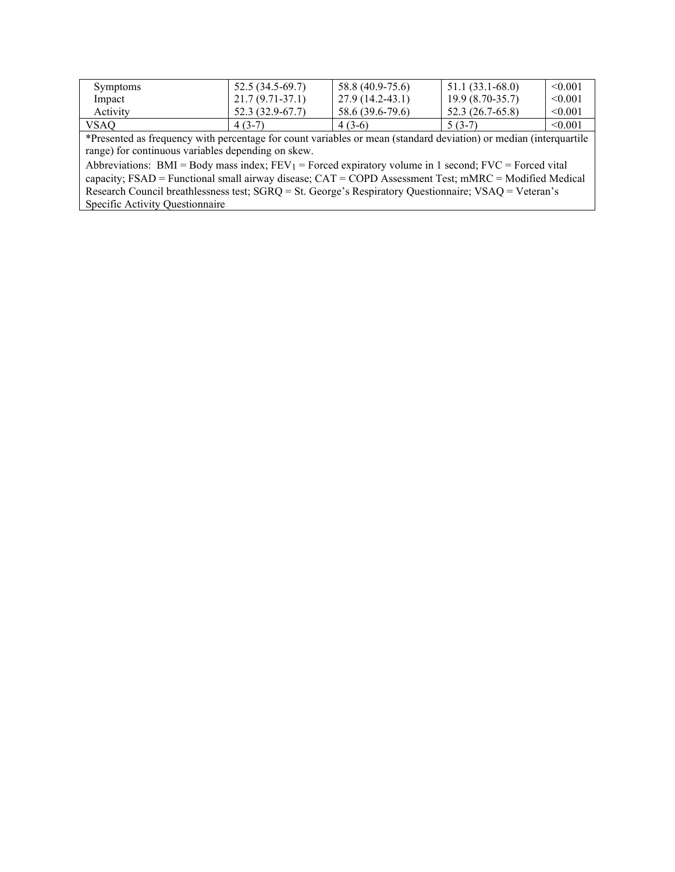| <b>Symptoms</b> | 52.5 (34.5-69.7)  | 58.8 (40.9-75.6) | $51.1(33.1-68.0)$ | < 0.001 |
|-----------------|-------------------|------------------|-------------------|---------|
| Impact          | $21.7(9.71-37.1)$ | 27.9 (14.2-43.1) | $19.9(8.70-35.7)$ | < 0.001 |
| Activity        | 52.3 (32.9-67.7)  | 58.6 (39.6-79.6) | 52.3 (26.7-65.8)  | < 0.001 |
| VSAQ            | $4(3-7)$          | $4(3-6)$         | $5(3-7)$          | < 0.001 |

\*Presented as frequency with percentage for count variables or mean (standard deviation) or median (interquartile range) for continuous variables depending on skew.

Abbreviations: BMI = Body mass index;  $FEV_1$  = Forced expiratory volume in 1 second;  $FVC$  = Forced vital capacity; FSAD = Functional small airway disease; CAT = COPD Assessment Test; mMRC = Modified Medical Research Council breathlessness test; SGRQ = St. George's Respiratory Questionnaire; VSAQ = Veteran's Specific Activity Questionnaire